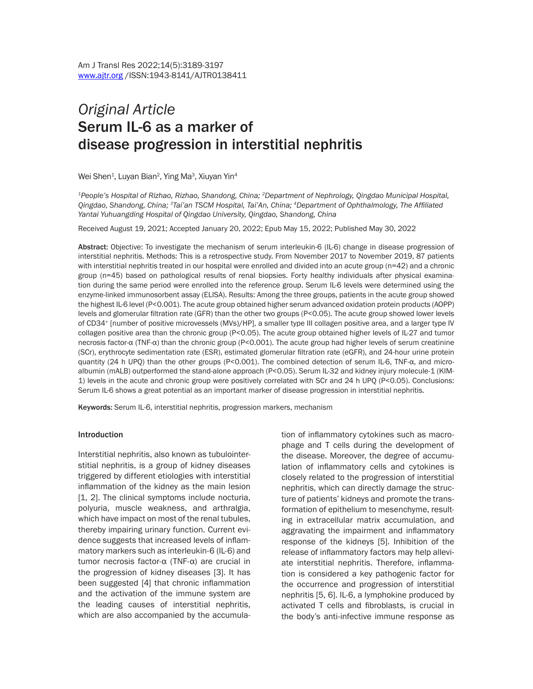# *Original Article* Serum IL-6 as a marker of disease progression in interstitial nephritis

Wei Shen<sup>1</sup>, Luyan Bian<sup>2</sup>, Ying Ma<sup>3</sup>, Xiuyan Yin<sup>4</sup>

*1People's Hospital of Rizhao, Rizhao, Shandong, China; 2Department of Nephrology, Qingdao Municipal Hospital, Qingdao, Shandong, China; 3Tai'an TSCM Hospital, Tai'An, China; 4Department of Ophthalmology, The Affiliated Yantai Yuhuangding Hospital of Qingdao University, Qingdao, Shandong, China*

Received August 19, 2021; Accepted January 20, 2022; Epub May 15, 2022; Published May 30, 2022

Abstract: Objective: To investigate the mechanism of serum interleukin-6 (IL-6) change in disease progression of interstitial nephritis. Methods: This is a retrospective study. From November 2017 to November 2019, 87 patients with interstitial nephritis treated in our hospital were enrolled and divided into an acute group (n=42) and a chronic group (n=45) based on pathological results of renal biopsies. Forty healthy individuals after physical examination during the same period were enrolled into the reference group. Serum IL-6 levels were determined using the enzyme-linked immunosorbent assay (ELISA). Results: Among the three groups, patients in the acute group showed the highest IL-6 level (P<0.001). The acute group obtained higher serum advanced oxidation protein products (AOPP) levels and glomerular filtration rate (GFR) than the other two groups (P<0.05). The acute group showed lower levels of CD34+ [number of positive microvessels (MVs)/HP], a smaller type III collagen positive area, and a larger type IV collagen positive area than the chronic group (P<0.05). The acute group obtained higher levels of IL-27 and tumor necrosis factor-α (TNF-α) than the chronic group (P<0.001). The acute group had higher levels of serum creatinine (SCr), erythrocyte sedimentation rate (ESR), estimated glomerular filtration rate (eGFR), and 24-hour urine protein quantity (24 h UPQ) than the other groups (P<0.001). The combined detection of serum IL-6, TNF-α, and microalbumin (mALB) outperformed the stand-alone approach (P<0.05). Serum IL-32 and kidney injury molecule-1 (KIM-1) levels in the acute and chronic group were positively correlated with SCr and 24 h UPQ (P<0.05). Conclusions: Serum IL-6 shows a great potential as an important marker of disease progression in interstitial nephritis.

Keywords: Serum IL-6, interstitial nephritis, progression markers, mechanism

#### Introduction

Interstitial nephritis, also known as tubulointerstitial nephritis, is a group of kidney diseases triggered by different etiologies with interstitial inflammation of the kidney as the main lesion [1, 2]. The clinical symptoms include nocturia, polyuria, muscle weakness, and arthralgia, which have impact on most of the renal tubules, thereby impairing urinary function. Current evidence suggests that increased levels of inflammatory markers such as interleukin-6 (IL-6) and tumor necrosis factor-α (TNF-α) are crucial in the progression of kidney diseases [3]. It has been suggested [4] that chronic inflammation and the activation of the immune system are the leading causes of interstitial nephritis, which are also accompanied by the accumulation of inflammatory cytokines such as macrophage and T cells during the development of the disease. Moreover, the degree of accumulation of inflammatory cells and cytokines is closely related to the progression of interstitial nephritis, which can directly damage the structure of patients' kidneys and promote the transformation of epithelium to mesenchyme, resulting in extracellular matrix accumulation, and aggravating the impairment and inflammatory response of the kidneys [5]. Inhibition of the release of inflammatory factors may help alleviate interstitial nephritis. Therefore, inflammation is considered a key pathogenic factor for the occurrence and progression of interstitial nephritis [5, 6]. IL-6, a lymphokine produced by activated T cells and fibroblasts, is crucial in the body's anti-infective immune response as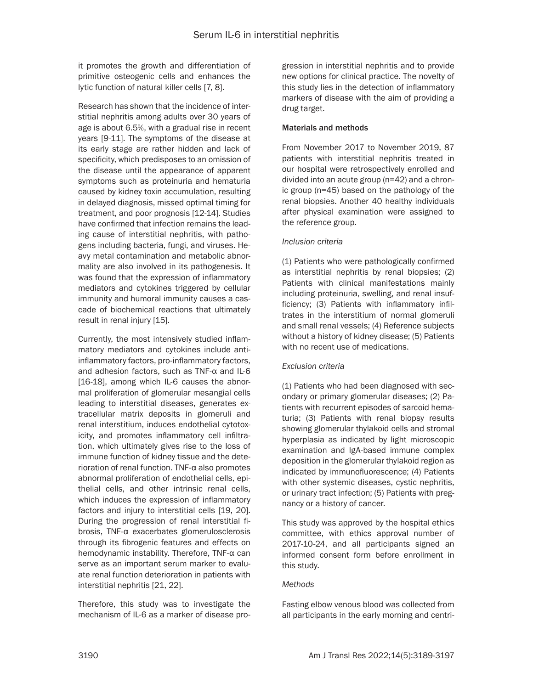it promotes the growth and differentiation of primitive osteogenic cells and enhances the lytic function of natural killer cells [7, 8].

Research has shown that the incidence of interstitial nephritis among adults over 30 years of age is about 6.5%, with a gradual rise in recent years [9-11]. The symptoms of the disease at its early stage are rather hidden and lack of specificity, which predisposes to an omission of the disease until the appearance of apparent symptoms such as proteinuria and hematuria caused by kidney toxin accumulation, resulting in delayed diagnosis, missed optimal timing for treatment, and poor prognosis [12-14]. Studies have confirmed that infection remains the leading cause of interstitial nephritis, with pathogens including bacteria, fungi, and viruses. Heavy metal contamination and metabolic abnormality are also involved in its pathogenesis. It was found that the expression of inflammatory mediators and cytokines triggered by cellular immunity and humoral immunity causes a cascade of biochemical reactions that ultimately result in renal injury [15].

Currently, the most intensively studied inflammatory mediators and cytokines include antiinflammatory factors, pro-inflammatory factors, and adhesion factors, such as TNF-α and IL-6 [16-18], among which IL-6 causes the abnormal proliferation of glomerular mesangial cells leading to interstitial diseases, generates extracellular matrix deposits in glomeruli and renal interstitium, induces endothelial cytotoxicity, and promotes inflammatory cell infiltration, which ultimately gives rise to the loss of immune function of kidney tissue and the deterioration of renal function. TNF-α also promotes abnormal proliferation of endothelial cells, epithelial cells, and other intrinsic renal cells, which induces the expression of inflammatory factors and injury to interstitial cells [19, 20]. During the progression of renal interstitial fibrosis, TNF-α exacerbates glomerulosclerosis through its fibrogenic features and effects on hemodynamic instability. Therefore, TNF-α can serve as an important serum marker to evaluate renal function deterioration in patients with interstitial nephritis [21, 22].

Therefore, this study was to investigate the mechanism of IL-6 as a marker of disease progression in interstitial nephritis and to provide new options for clinical practice. The novelty of this study lies in the detection of inflammatory markers of disease with the aim of providing a drug target.

## Materials and methods

From November 2017 to November 2019, 87 patients with interstitial nephritis treated in our hospital were retrospectively enrolled and divided into an acute group (n=42) and a chronic group (n=45) based on the pathology of the renal biopsies. Another 40 healthy individuals after physical examination were assigned to the reference group.

## *Inclusion criteria*

(1) Patients who were pathologically confirmed as interstitial nephritis by renal biopsies; (2) Patients with clinical manifestations mainly including proteinuria, swelling, and renal insufficiency; (3) Patients with inflammatory infiltrates in the interstitium of normal glomeruli and small renal vessels; (4) Reference subjects without a history of kidney disease; (5) Patients with no recent use of medications.

# *Exclusion criteria*

(1) Patients who had been diagnosed with secondary or primary glomerular diseases; (2) Patients with recurrent episodes of sarcoid hematuria; (3) Patients with renal biopsy results showing glomerular thylakoid cells and stromal hyperplasia as indicated by light microscopic examination and IgA-based immune complex deposition in the glomerular thylakoid region as indicated by immunofluorescence; (4) Patients with other systemic diseases, cystic nephritis, or urinary tract infection; (5) Patients with pregnancy or a history of cancer.

This study was approved by the hospital ethics committee, with ethics approval number of 2017-10-24, and all participants signed an informed consent form before enrollment in this study.

# *Methods*

Fasting elbow venous blood was collected from all participants in the early morning and centri-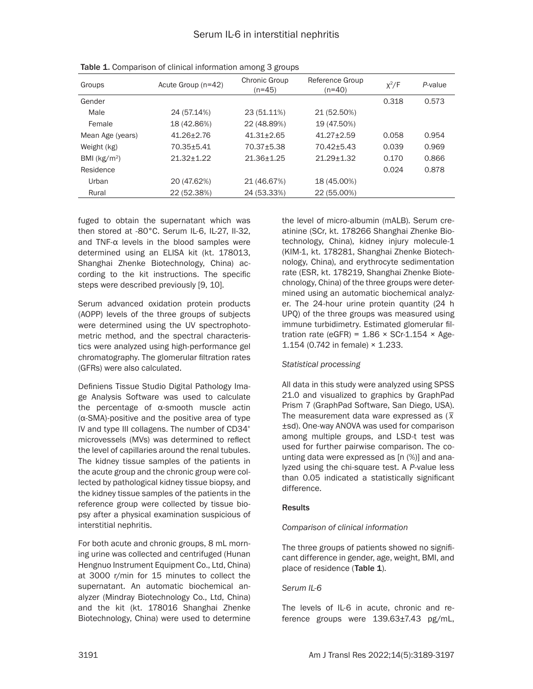| Groups           | Acute Group (n=42) | Chronic Group<br>$(n=45)$ | Reference Group<br>$(n=40)$ | $x^2/F$ | P-value |
|------------------|--------------------|---------------------------|-----------------------------|---------|---------|
| Gender           |                    |                           |                             | 0.318   | 0.573   |
| Male             | 24 (57.14%)        | 23 (51.11%)               | 21 (52.50%)                 |         |         |
| Female           | 18 (42.86%)        | 22 (48.89%)               | 19 (47.50%)                 |         |         |
| Mean Age (years) | $41.26 + 2.76$     | $41.31 + 2.65$            | $41.27 + 2.59$              | 0.058   | 0.954   |
| Weight (kg)      | 70.35+5.41         | 70.37+5.38                | 70.42+5.43                  | 0.039   | 0.969   |
| BMI ( $kg/m2$ )  | $21.32 + 1.22$     | 21.36+1.25                | $21.29 + 1.32$              | 0.170   | 0.866   |
| Residence        |                    |                           |                             | 0.024   | 0.878   |
| Urban            | 20 (47.62%)        | 21 (46.67%)               | 18 (45.00%)                 |         |         |
| Rural            | 22 (52.38%)        | 24 (53.33%)               | 22 (55.00%)                 |         |         |

Table 1. Comparison of clinical information among 3 groups

fuged to obtain the supernatant which was then stored at -80°C. Serum IL-6, IL-27, Il-32, and TNF-α levels in the blood samples were determined using an ELISA kit (kt. 178013, Shanghai Zhenke Biotechnology, China) according to the kit instructions. The specific steps were described previously [9, 10].

Serum advanced oxidation protein products (AOPP) levels of the three groups of subjects were determined using the UV spectrophotometric method, and the spectral characteristics were analyzed using high-performance gel chromatography. The glomerular filtration rates (GFRs) were also calculated.

Definiens Tissue Studio Digital Pathology Image Analysis Software was used to calculate the percentage of α-smooth muscle actin (α-SMA)-positive and the positive area of type IV and type III collagens. The number of CD34+ microvessels (MVs) was determined to reflect the level of capillaries around the renal tubules. The kidney tissue samples of the patients in the acute group and the chronic group were collected by pathological kidney tissue biopsy, and the kidney tissue samples of the patients in the reference group were collected by tissue biopsy after a physical examination suspicious of interstitial nephritis.

For both acute and chronic groups, 8 mL morning urine was collected and centrifuged (Hunan Hengnuo Instrument Equipment Co., Ltd, China) at 3000 r/min for 15 minutes to collect the supernatant. An automatic biochemical analyzer (Mindray Biotechnology Co., Ltd, China) and the kit (kt. 178016 Shanghai Zhenke Biotechnology, China) were used to determine

the level of micro-albumin (mALB). Serum creatinine (SCr, kt. 178266 Shanghai Zhenke Biotechnology, China), kidney injury molecule-1 (KIM-1, kt. 178281, Shanghai Zhenke Biotechnology, China), and erythrocyte sedimentation rate (ESR, kt. 178219, Shanghai Zhenke Biotechnology, China) of the three groups were determined using an automatic biochemical analyzer. The 24-hour urine protein quantity (24 h UPQ) of the three groups was measured using immune turbidimetry. Estimated glomerular filtration rate (eGFR) =  $1.86 \times$  SCr-1.154  $\times$  Age-1.154 (0.742 in female) × 1.233.

# *Statistical processing*

All data in this study were analyzed using SPSS 21.0 and visualized to graphics by GraphPad Prism 7 (GraphPad Software, San Diego, USA). The measurement data ware expressed as (*\_ x* ±sd). One-way ANOVA was used for comparison among multiple groups, and LSD-t test was used for further pairwise comparison. The counting data were expressed as [n (%)] and analyzed using the chi-square test. A *P*-value less than 0.05 indicated a statistically significant difference.

## **Results**

# *Comparison of clinical information*

The three groups of patients showed no significant difference in gender, age, weight, BMI, and place of residence (Table 1).

# *Serum IL-6*

The levels of IL-6 in acute, chronic and reference groups were 139.63±7.43 pg/mL,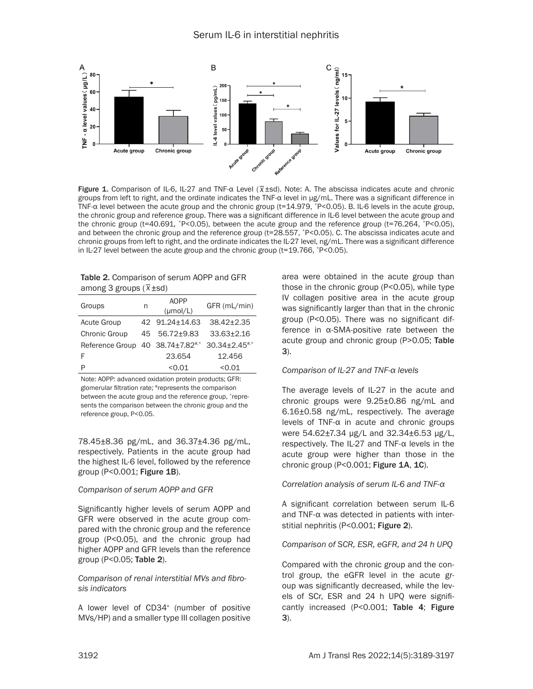

Figure 1. Comparison of IL-6, IL-27 and TNF-α Level (*\_ x*±sd). Note: A. The abscissa indicates acute and chronic groups from left to right, and the ordinate indicates the TNF-α level in μg/mL. There was a significant difference in TNF-α level between the acute group and the chronic group (t=14.979, \*P<0.05). B. IL-6 levels in the acute group, the chronic group and reference group. There was a significant difference in IL-6 level between the acute group and the chronic group (t=40.691,  $*P<0.05$ ), between the acute group and the reference group (t=76.264,  $*P<0.05$ ), and between the chronic group and the reference group (t=28.557, \*P<0.05). C. The abscissa indicates acute and chronic groups from left to right, and the ordinate indicates the IL-27 level, ng/mL. There was a significant difference in IL-27 level between the acute group and the chronic group ( $t=19.766$ ,  $r=19.766$ ).

| <b>Table 2. Comparison of serum AOPP and GFR</b> |  |
|--------------------------------------------------|--|
| among 3 groups $(\overline{x} \pm sd)$           |  |

| Groups                                       | n   | <b>AOPP</b><br>$(\mu \text{mol/L})$ | GFR (mL/min)      |
|----------------------------------------------|-----|-------------------------------------|-------------------|
| <b>Acute Group</b>                           |     | 42 91.24±14.63                      | $38.42 \pm 2.35$  |
| Chronic Group                                | 45. | 56.72+9.83                          | $33.63 \pm 2.16$  |
| Reference Group 40 38.74±7.82 <sup>#,*</sup> |     |                                     | $30.34 + 2.45$ ** |
| F                                            |     | 23.654                              | 12.456            |
| P                                            |     | < 0.01                              | < 0.01            |

Note: AOPP: advanced oxidation protein products; GFR: glomerular filtration rate; #represents the comparison between the acute group and the reference group, \*represents the comparison between the chronic group and the reference group, P<0.05.

78.45±8.36 pg/mL, and 36.37±4.36 pg/mL, respectively. Patients in the acute group had the highest IL-6 level, followed by the reference group (P<0.001; Figure 1B).

#### *Comparison of serum AOPP and GFR*

Significantly higher levels of serum AOPP and GFR were observed in the acute group compared with the chronic group and the reference group (P<0.05), and the chronic group had higher AOPP and GFR levels than the reference group (P<0.05; Table 2).

### *Comparison of renal interstitial MVs and fibrosis indicators*

A lower level of CD34<sup>+</sup> (number of positive MVs/HP) and a smaller type III collagen positive

area were obtained in the acute group than those in the chronic group (P<0.05), while type IV collagen positive area in the acute group was significantly larger than that in the chronic group (P<0.05). There was no significant difference in α-SMA-positive rate between the acute group and chronic group (P>0.05; Table 3).

## *Comparison of IL-27 and TNF-α levels*

The average levels of IL-27 in the acute and chronic groups were 9.25±0.86 ng/mL and 6.16±0.58 ng/mL, respectively. The average levels of TNF-α in acute and chronic groups were 54.62±7.34 μg/L and 32.34±6.53 μg/L, respectively. The IL-27 and TNF-α levels in the acute group were higher than those in the chronic group (P<0.001; Figure 1A, 1C).

## *Correlation analysis of serum IL-6 and TNF-α*

A significant correlation between serum IL-6 and TNF-α was detected in patients with interstitial nephritis (P<0.001; Figure 2).

*Comparison of SCR, ESR, eGFR, and 24 h UPQ*

Compared with the chronic group and the control group, the eGFR level in the acute group was significantly decreased, while the levels of SCr, ESR and 24 h UPQ were significantly increased (P<0.001; Table 4; Figure 3).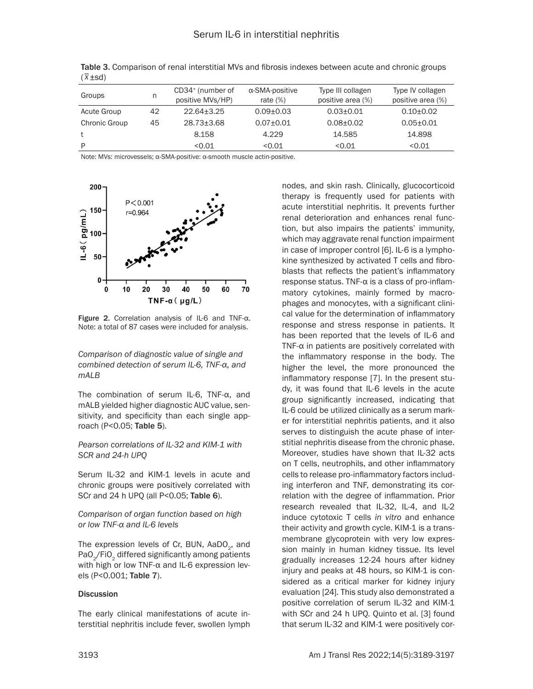| Groups        | n  | CD34 <sup>+</sup> (number of<br>positive MVs/HP) | $\alpha$ -SMA-positive<br>rate $(\%)$ | Type III collagen<br>positive area (%) | Type IV collagen<br>positive area (%) |
|---------------|----|--------------------------------------------------|---------------------------------------|----------------------------------------|---------------------------------------|
| Acute Group   | 42 | $22.64 + 3.25$                                   | $0.09 + 0.03$                         | $0.03 \pm 0.01$                        | $0.10 + 0.02$                         |
| Chronic Group | 45 | 28.73±3.68                                       | $0.07 + 0.01$                         | $0.08 + 0.02$                          | $0.05 + 0.01$                         |
|               |    | 8.158                                            | 4.229                                 | 14.585                                 | 14.898                                |
| D             |    | <0.01                                            | < 0.01                                | < 0.01                                 | < 0.01                                |

Table 3. Comparison of renal interstitial MVs and fibrosis indexes between acute and chronic groups *\_* ( *x*±sd)

Note: MVs: microvessels; α-SMA-positive: α-smooth muscle actin-positive.



Figure 2. Correlation analysis of IL-6 and TNF-α. Note: a total of 87 cases were included for analysis.

*Comparison of diagnostic value of single and combined detection of serum IL-6, TNF-α, and mALB*

The combination of serum IL-6, TNF-α, and mALB yielded higher diagnostic AUC value, sensitivity, and specificity than each single approach (P<0.05; Table 5).

*Pearson correlations of IL-32 and KIM-1 with SCR and 24-h UPQ*

Serum IL-32 and KIM-1 levels in acute and chronic groups were positively correlated with SCr and 24 h UPQ (all P<0.05; Table 6).

*Comparison of organ function based on high or low TNF-α and IL-6 levels*

The expression levels of Cr, BUN, AaDO<sub>2</sub>, and PaO<sub>2</sub>/FiO<sub>2</sub> differed significantly among patients with high or low TNF-α and IL-6 expression levels (P<0.001; Table 7).

#### **Discussion**

The early clinical manifestations of acute interstitial nephritis include fever, swollen lymph nodes, and skin rash. Clinically, glucocorticoid therapy is frequently used for patients with acute interstitial nephritis. It prevents further renal deterioration and enhances renal function, but also impairs the patients' immunity, which may aggravate renal function impairment in case of improper control [6]. IL-6 is a lymphokine synthesized by activated T cells and fibroblasts that reflects the patient's inflammatory response status. TNF-α is a class of pro-inflammatory cytokines, mainly formed by macrophages and monocytes, with a significant clinical value for the determination of inflammatory response and stress response in patients. It has been reported that the levels of IL-6 and TNF- $\alpha$  in patients are positively correlated with the inflammatory response in the body. The higher the level, the more pronounced the inflammatory response [7]. In the present study, it was found that IL-6 levels in the acute group significantly increased, indicating that IL-6 could be utilized clinically as a serum marker for interstitial nephritis patients, and it also serves to distinguish the acute phase of interstitial nephritis disease from the chronic phase. Moreover, studies have shown that IL-32 acts on T cells, neutrophils, and other inflammatory cells to release pro-inflammatory factors including interferon and TNF, demonstrating its correlation with the degree of inflammation. Prior research revealed that IL-32, IL-4, and IL-2 induce cytotoxic T cells *in vitro* and enhance their activity and growth cycle. KIM-1 is a transmembrane glycoprotein with very low expression mainly in human kidney tissue. Its level gradually increases 12-24 hours after kidney injury and peaks at 48 hours, so KIM-1 is considered as a critical marker for kidney injury evaluation [24]. This study also demonstrated a positive correlation of serum IL-32 and KIM-1 with SCr and 24 h UPQ. Quinto et al. [3] found that serum IL-32 and KIM-1 were positively cor-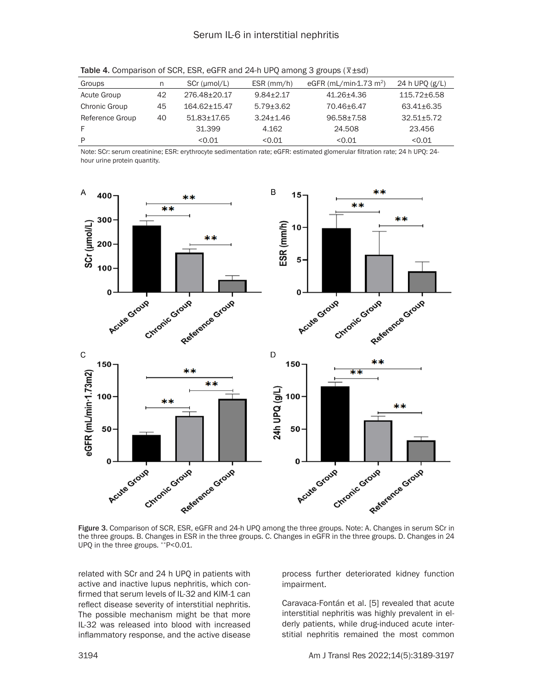| Groups          | n  | SCr (umol/L) | $ESR$ (mm/h)  | eGFR (mL/min-1.73 m <sup>2</sup> ) | 24 h UPO (g/L) |
|-----------------|----|--------------|---------------|------------------------------------|----------------|
| Acute Group     | 42 | 276.48±20.17 | $9.84 + 2.17$ | 41.26+4.36                         | 115.72±6.58    |
| Chronic Group   | 45 | 164.62±15.47 | $5.79 + 3.62$ | 70.46+6.47                         | 63.41±6.35     |
| Reference Group | 40 | 51.83+17.65  | $3.24 + 1.46$ | 96.58+7.58                         | $32.51 + 5.72$ |
|                 |    | 31.399       | 4.162         | 24.508                             | 23.456         |
| P               |    | < 0.01       | < 0.01        | < 0.01                             | < 0.01         |

Table 4. Comparison of SCR, ESR, eGFR and 24-h UPQ among 3 groups (*\_ x*±sd)

Note: SCr: serum creatinine; ESR: erythrocyte sedimentation rate; eGFR: estimated glomerular filtration rate; 24 h UPQ: 24 hour urine protein quantity.



Figure 3. Comparison of SCR, ESR, eGFR and 24-h UPQ among the three groups. Note: A. Changes in serum SCr in the three groups. B. Changes in ESR in the three groups. C. Changes in eGFR in the three groups. D. Changes in 24 UPQ in the three groups. \*\*P<0.01.

related with SCr and 24 h UPQ in patients with active and inactive lupus nephritis, which confirmed that serum levels of IL-32 and KIM-1 can reflect disease severity of interstitial nephritis. The possible mechanism might be that more IL-32 was released into blood with increased inflammatory response, and the active disease

process further deteriorated kidney function impairment.

Caravaca-Fontán et al. [5] revealed that acute interstitial nephritis was highly prevalent in elderly patients, while drug-induced acute interstitial nephritis remained the most common

3194 Am J Transl Res 2022;14(5):3189-3197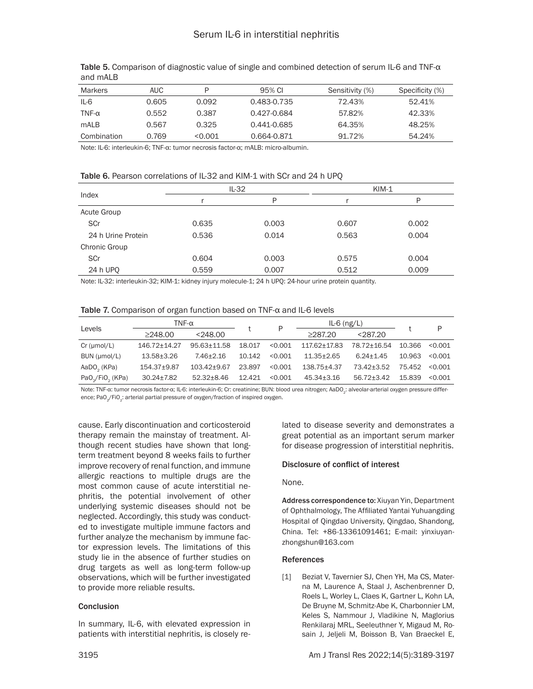| <b>Markers</b> | AUC.  | D       | 95% CI      | Sensitivity (%) | Specificity (%) |
|----------------|-------|---------|-------------|-----------------|-----------------|
| IL-6           | 0.605 | 0.092   | 0.483-0.735 | 72.43%          | 52.41%          |
| TNF- $\alpha$  | 0.552 | 0.387   | 0.427-0.684 | 57.82%          | 42.33%          |
| mALB           | 0.567 | 0.325   | 0.441-0.685 | 64.35%          | 48.25%          |
| Combination    | 0.769 | < 0.001 | 0.664-0.871 | 91.72%          | 54.24%          |

Table 5. Comparison of diagnostic value of single and combined detection of serum IL-6 and TNF-α and mALB

Note: IL-6: interleukin-6; TNF-α: tumor necrosis factor-α; mALB: micro-albumin.

|  |  |  | Table 6. Pearson correlations of IL-32 and KIM-1 with SCr and 24 h UPQ |
|--|--|--|------------------------------------------------------------------------|
|--|--|--|------------------------------------------------------------------------|

|                    |       | $IL-32$ |       | $KIM-1$ |
|--------------------|-------|---------|-------|---------|
| Index              |       | Þ       |       | P       |
| Acute Group        |       |         |       |         |
| SCr                | 0.635 | 0.003   | 0.607 | 0.002   |
| 24 h Urine Protein | 0.536 | 0.014   | 0.563 | 0.004   |
| Chronic Group      |       |         |       |         |
| SCr                | 0.604 | 0.003   | 0.575 | 0.004   |
| 24 h UPO           | 0.559 | 0.007   | 0.512 | 0.009   |

Note: IL-32: interleukin-32; KIM-1: kidney injury molecule-1; 24 h UPQ: 24-hour urine protein quantity.

|  |  |  |  | Table 7. Comparison of organ function based on $TNF-\alpha$ and IL-6 levels |
|--|--|--|--|-----------------------------------------------------------------------------|
|--|--|--|--|-----------------------------------------------------------------------------|

| Levels                  | TNF- $\alpha$    |               | P      |         | $IL-6$ (ng/L)  |               |        | P       |
|-------------------------|------------------|---------------|--------|---------|----------------|---------------|--------|---------|
|                         | $\geq$ 248.00    | $<$ 248.00    |        |         | $\geq$ 287.20  | < 287.20      |        |         |
| $Cr$ ( $µmol/L$ )       | 146.72±14.27     | 95.63+11.58   | 18.017 | < 0.001 | 117.62±17.83   | 78.72+16.54   | 10.366 | < 0.001 |
| BUN (µmol/L)            | 13.58+3.26       | $7.46 + 2.16$ | 10.142 | < 0.001 | $11.35 + 2.65$ | $6.24 + 1.45$ | 10.963 | < 0.001 |
| AaDO <sub>2</sub> (KPa) | 154.37±9.87      | 103.42+9.67   | 23.897 | < 0.001 | 138.75+4.37    | 73.42±3.52    | 75.452 | < 0.001 |
| $PaO2/FiO2$ (KPa)       | $30.24 \pm 7.82$ | 52.32+8.46    | 12.421 | < 0.001 | 45.34+3.16     | 56.72+3.42    | 15.839 | < 0.001 |

Note: TNF-α: tumor necrosis factor-α; IL-6: interleukin-6; Cr: creatinine; BUN: blood urea nitrogen; AaDO<sub>2</sub>: alveolar-arterial oxygen pressure difference; PaO<sub>2</sub>/FiO<sub>2</sub>: arterial partial pressure of oxygen/fraction of inspired oxygen.

cause. Early discontinuation and corticosteroid therapy remain the mainstay of treatment. Although recent studies have shown that longterm treatment beyond 8 weeks fails to further improve recovery of renal function, and immune allergic reactions to multiple drugs are the most common cause of acute interstitial nephritis, the potential involvement of other underlying systemic diseases should not be neglected. Accordingly, this study was conducted to investigate multiple immune factors and further analyze the mechanism by immune factor expression levels. The limitations of this study lie in the absence of further studies on drug targets as well as long-term follow-up observations, which will be further investigated to provide more reliable results.

#### **Conclusion**

In summary, IL-6, with elevated expression in patients with interstitial nephritis, is closely related to disease severity and demonstrates a great potential as an important serum marker for disease progression of interstitial nephritis.

#### Disclosure of conflict of interest

None.

Address correspondence to: Xiuyan Yin, Department of Ophthalmology, The Affiliated Yantai Yuhuangding Hospital of Qingdao University, Qingdao, Shandong, China. Tel: +86-13361091461; E-mail: [yinxiuyan](mailto:yinxiuyanzhongshun@163.com)[zhongshun@163.com](mailto:yinxiuyanzhongshun@163.com)

#### **References**

[1] Beziat V, Tavernier SJ, Chen YH, Ma CS. Materna M, Laurence A, Staal J, Aschenbrenner D, Roels L, Worley L, Claes K, Gartner L, Kohn LA, De Bruyne M, Schmitz-Abe K, Charbonnier LM, Keles S, Nammour J, Vladikine N, Maglorius Renkilaraj MRL, Seeleuthner Y, Migaud M, Rosain J, Jeljeli M, Boisson B, Van Braeckel E,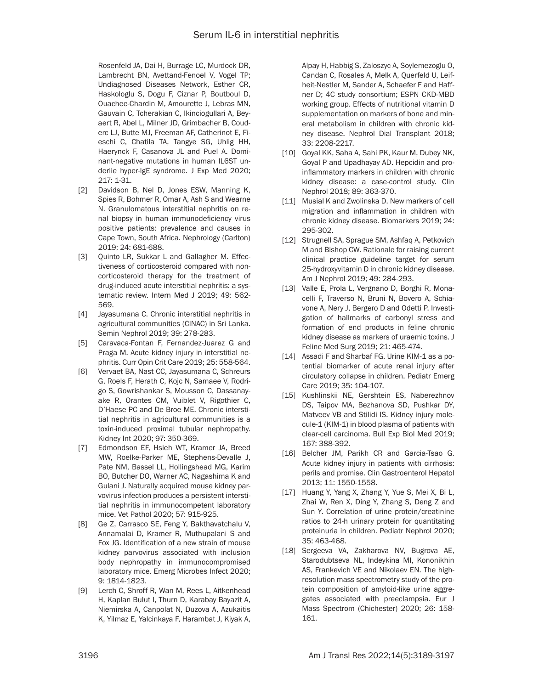Rosenfeld JA, Dai H, Burrage LC, Murdock DR, Lambrecht BN, Avettand-Fenoel V, Vogel TP; Undiagnosed Diseases Network, Esther CR, Haskologlu S, Dogu F, Ciznar P, Boutboul D, Ouachee-Chardin M, Amourette J, Lebras MN, Gauvain C, Tcherakian C, Ikinciogullari A, Beyaert R, Abel L, Milner JD, Grimbacher B, Couderc LJ, Butte MJ, Freeman AF, Catherinot E, Fieschi C, Chatila TA, Tangye SG, Uhlig HH, Haerynck F, Casanova JL and Puel A. Dominant-negative mutations in human IL6ST underlie hyper-IgE syndrome. J Exp Med 2020; 217: 1-31.

- [2] Davidson B, Nel D, Jones ESW, Manning K, Spies R, Bohmer R, Omar A, Ash S and Wearne N. Granulomatous interstitial nephritis on renal biopsy in human immunodeficiency virus positive patients: prevalence and causes in Cape Town, South Africa. Nephrology (Carlton) 2019; 24: 681-688.
- [3] Quinto LR, Sukkar L and Gallagher M. Effectiveness of corticosteroid compared with noncorticosteroid therapy for the treatment of drug-induced acute interstitial nephritis: a systematic review. Intern Med J 2019; 49: 562- 569.
- [4] Jayasumana C. Chronic interstitial nephritis in agricultural communities (CINAC) in Sri Lanka. Semin Nephrol 2019; 39: 278-283.
- [5] Caravaca-Fontan F, Fernandez-Juarez G and Praga M. Acute kidney injury in interstitial nephritis. Curr Opin Crit Care 2019; 25: 558-564.
- [6] Vervaet BA, Nast CC, Jayasumana C, Schreurs G, Roels F, Herath C, Kojc N, Samaee V, Rodrigo S, Gowrishankar S, Mousson C, Dassanayake R, Orantes CM, Vuiblet V, Rigothier C, D'Haese PC and De Broe ME. Chronic interstitial nephritis in agricultural communities is a toxin-induced proximal tubular nephropathy. Kidney Int 2020; 97: 350-369.
- [7] Edmondson EF, Hsieh WT, Kramer JA, Breed MW, Roelke-Parker ME, Stephens-Devalle J, Pate NM, Bassel LL, Hollingshead MG, Karim BO, Butcher DO, Warner AC, Nagashima K and Gulani J. Naturally acquired mouse kidney parvovirus infection produces a persistent interstitial nephritis in immunocompetent laboratory mice. Vet Pathol 2020; 57: 915-925.
- [8] Ge Z, Carrasco SE, Feng Y, Bakthavatchalu V, Annamalai D, Kramer R, Muthupalani S and Fox JG. Identification of a new strain of mouse kidney parvovirus associated with inclusion body nephropathy in immunocompromised laboratory mice. Emerg Microbes Infect 2020; 9: 1814-1823.
- [9] Lerch C, Shroff R, Wan M, Rees L, Aitkenhead H, Kaplan Bulut I, Thurn D, Karabay Bayazit A, Niemirska A, Canpolat N, Duzova A, Azukaitis K, Yilmaz E, Yalcinkaya F, Harambat J, Kiyak A,

Alpay H, Habbig S, Zaloszyc A, Soylemezoglu O, Candan C, Rosales A, Melk A, Querfeld U, Leifheit-Nestler M, Sander A, Schaefer F and Haffner D; 4C study consortium; ESPN CKD-MBD working group. Effects of nutritional vitamin D supplementation on markers of bone and mineral metabolism in children with chronic kidney disease. Nephrol Dial Transplant 2018; 33: 2208-2217.

- [10] Goyal KK, Saha A, Sahi PK, Kaur M, Dubey NK, Goyal P and Upadhayay AD. Hepcidin and proinflammatory markers in children with chronic kidney disease: a case-control study. Clin Nephrol 2018; 89: 363-370.
- [11] Musial K and Zwolinska D. New markers of cell migration and inflammation in children with chronic kidney disease. Biomarkers 2019; 24: 295-302.
- [12] Strugnell SA, Sprague SM, Ashfaq A, Petkovich M and Bishop CW. Rationale for raising current clinical practice guideline target for serum 25-hydroxyvitamin D in chronic kidney disease. Am J Nephrol 2019; 49: 284-293.
- [13] Valle E, Prola L, Vergnano D, Borghi R, Monacelli F, Traverso N, Bruni N, Bovero A, Schiavone A, Nery J, Bergero D and Odetti P. Investigation of hallmarks of carbonyl stress and formation of end products in feline chronic kidney disease as markers of uraemic toxins. J Feline Med Surg 2019; 21: 465-474.
- [14] Assadi F and Sharbaf FG. Urine KIM-1 as a potential biomarker of acute renal injury after circulatory collapse in children. Pediatr Emerg Care 2019; 35: 104-107.
- [15] Kushlinskii NE, Gershtein ES, Naberezhnov DS, Taipov MA, Bezhanova SD, Pushkar DY, Matveev VB and Stilidi IS. Kidney injury molecule-1 (KIM-1) in blood plasma of patients with clear-cell carcinoma. Bull Exp Biol Med 2019; 167: 388-392.
- [16] Belcher JM, Parikh CR and Garcia-Tsao G. Acute kidney injury in patients with cirrhosis: perils and promise. Clin Gastroenterol Hepatol 2013; 11: 1550-1558.
- [17] Huang Y, Yang X, Zhang Y, Yue S, Mei X, Bi L, Zhai W, Ren X, Ding Y, Zhang S, Deng Z and Sun Y. Correlation of urine protein/creatinine ratios to 24-h urinary protein for quantitating proteinuria in children. Pediatr Nephrol 2020; 35: 463-468.
- [18] Sergeeva VA, Zakharova NV, Bugrova AE, Starodubtseva NL, Indeykina MI, Kononikhin AS, Frankevich VE and Nikolaev EN. The highresolution mass spectrometry study of the protein composition of amyloid-like urine aggregates associated with preeclampsia. Eur J Mass Spectrom (Chichester) 2020; 26: 158- 161.